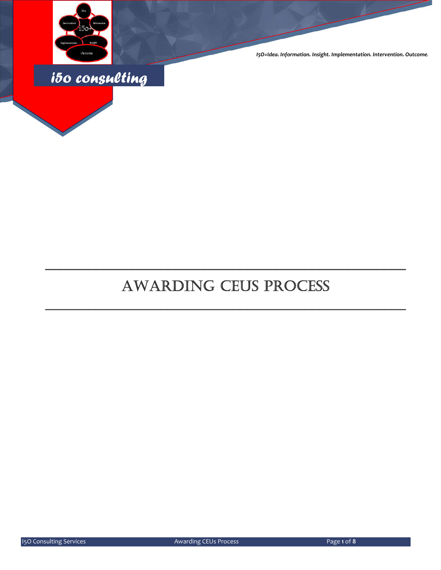

*I5O=Idea. Information. Insight. Implementation. Intervention. Outcome.*



# AWARDING CEUS PROCESS

\_\_\_\_\_\_\_\_\_\_\_\_\_\_\_\_\_\_\_\_\_\_\_\_\_\_\_\_\_\_\_\_\_\_\_\_\_\_\_\_\_\_\_\_\_\_\_\_\_\_

\_\_\_\_\_\_\_\_\_\_\_\_\_\_\_\_\_\_\_\_\_\_\_\_\_\_\_\_\_\_\_\_\_\_\_\_\_\_\_\_\_\_\_\_\_\_\_\_\_\_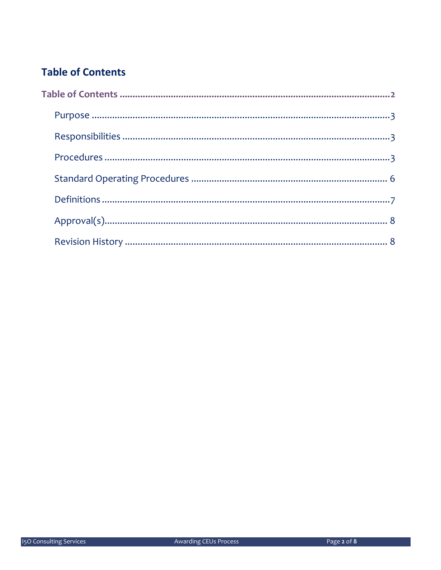## **Table of Contents**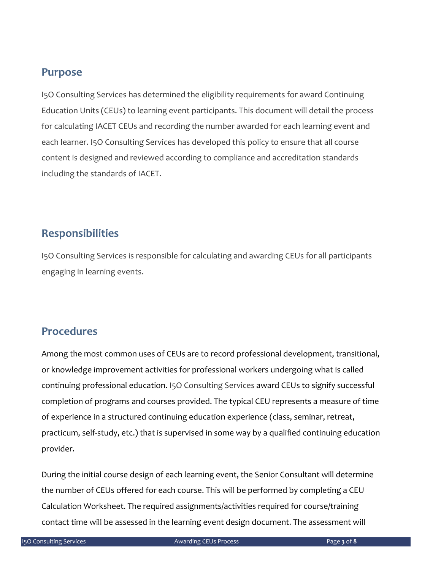### **Purpose**

I5O Consulting Services has determined the eligibility requirements for award Continuing Education Units (CEUs) to learning event participants. This document will detail the process for calculating IACET CEUs and recording the number awarded for each learning event and each learner. I5O Consulting Services has developed this policy to ensure that all course content is designed and reviewed according to compliance and accreditation standards including the standards of IACET.

### **Responsibilities**

I5O Consulting Services is responsible for calculating and awarding CEUs for all participants engaging in learning events.

### **Procedures**

Among the most common uses of CEUs are to record professional development, transitional, or knowledge improvement activities for professional workers undergoing what is called continuing professional education. I5O Consulting Services award CEUs to signify successful completion of programs and courses provided. The typical CEU represents a measure of time of experience in a structured continuing education experience (class, seminar, retreat, practicum, self‐study, etc.) that is supervised in some way by a qualified continuing education provider.

During the initial course design of each learning event, the Senior Consultant will determine the number of CEUs offered for each course. This will be performed by completing a CEU Calculation Worksheet. The required assignments/activities required for course/training contact time will be assessed in the learning event design document. The assessment will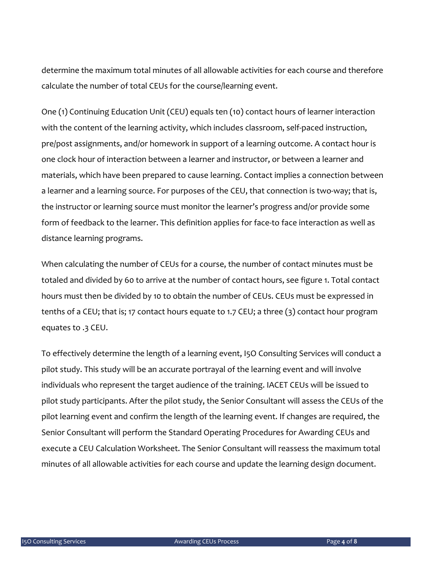determine the maximum total minutes of all allowable activities for each course and therefore calculate the number of total CEUs for the course/learning event.

One (1) Continuing Education Unit (CEU) equals ten (10) contact hours of learner interaction with the content of the learning activity, which includes classroom, self-paced instruction, pre/post assignments, and/or homework in support of a learning outcome. A contact hour is one clock hour of interaction between a learner and instructor, or between a learner and materials, which have been prepared to cause learning. Contact implies a connection between a learner and a learning source. For purposes of the CEU, that connection is two-way; that is, the instructor or learning source must monitor the learner's progress and/or provide some form of feedback to the learner. This definition applies for face-to face interaction as well as distance learning programs.

When calculating the number of CEUs for a course, the number of contact minutes must be totaled and divided by 60 to arrive at the number of contact hours, see figure 1. Total contact hours must then be divided by 10 to obtain the number of CEUs. CEUs must be expressed in tenths of a CEU; that is; 17 contact hours equate to 1.7 CEU; a three (3) contact hour program equates to .3 CEU.

To effectively determine the length of a learning event, I5O Consulting Services will conduct a pilot study. This study will be an accurate portrayal of the learning event and will involve individuals who represent the target audience of the training. IACET CEUs will be issued to pilot study participants. After the pilot study, the Senior Consultant will assess the CEUs of the pilot learning event and confirm the length of the learning event. If changes are required, the Senior Consultant will perform the Standard Operating Procedures for Awarding CEUs and execute a CEU Calculation Worksheet. The Senior Consultant will reassess the maximum total minutes of all allowable activities for each course and update the learning design document.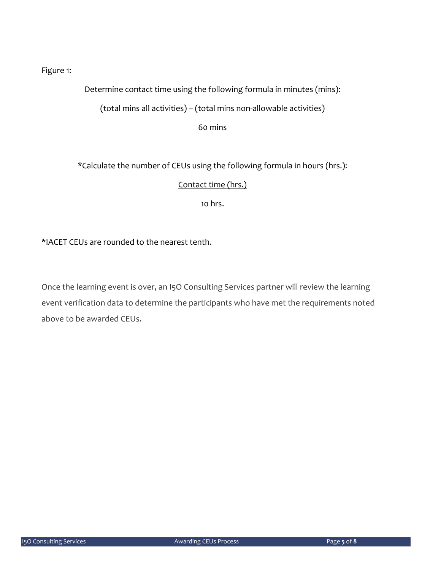#### Figure 1:

#### Determine contact time using the following formula in minutes (mins):

#### (total mins all activities) – (total mins non‐allowable activities)

60 mins

\*Calculate the number of CEUs using the following formula in hours (hrs.):

#### Contact time (hrs.)

10 hrs.

#### \*IACET CEUs are rounded to the nearest tenth.

Once the learning event is over, an I5O Consulting Services partner will review the learning event verification data to determine the participants who have met the requirements noted above to be awarded CEUs.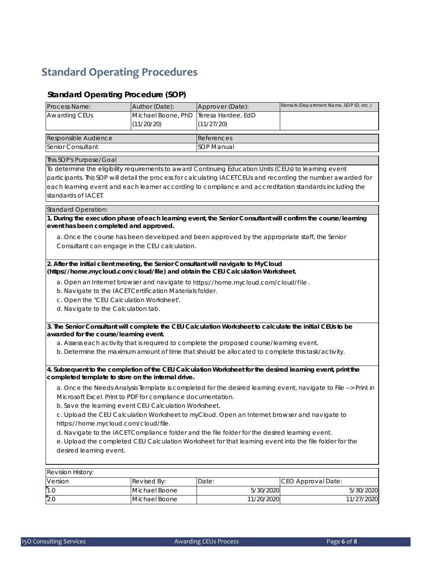# **Standard Operating Procedures**

#### **Standard Operating Procedure (SOP)**

|                                                                                                                                   |                                                                                                                                                                                                                          |                                                                                                            | Remark (Department Name, SOP ID, etc.)                                                                       |  |  |  |
|-----------------------------------------------------------------------------------------------------------------------------------|--------------------------------------------------------------------------------------------------------------------------------------------------------------------------------------------------------------------------|------------------------------------------------------------------------------------------------------------|--------------------------------------------------------------------------------------------------------------|--|--|--|
| Process Name:                                                                                                                     | Author (Date):                                                                                                                                                                                                           | Approver (Date):                                                                                           |                                                                                                              |  |  |  |
| Awarding CEUs                                                                                                                     | Michael Boone, PhD                                                                                                                                                                                                       | Teresa Hardee, EdD                                                                                         |                                                                                                              |  |  |  |
|                                                                                                                                   | (11/20/20)                                                                                                                                                                                                               | (11/27/20)                                                                                                 |                                                                                                              |  |  |  |
| Responsible Audience                                                                                                              |                                                                                                                                                                                                                          | References                                                                                                 |                                                                                                              |  |  |  |
| Senior Consultant                                                                                                                 |                                                                                                                                                                                                                          | SOP Manual                                                                                                 |                                                                                                              |  |  |  |
|                                                                                                                                   |                                                                                                                                                                                                                          |                                                                                                            |                                                                                                              |  |  |  |
| This SOP's Purpose/Goal                                                                                                           |                                                                                                                                                                                                                          |                                                                                                            |                                                                                                              |  |  |  |
|                                                                                                                                   | To determine the eligibility requirements to award Continuing Education Units (CEUs) to learning event<br>participants. This SOP will detail the process for calculating IACET CEUs and recording the number awarded for |                                                                                                            |                                                                                                              |  |  |  |
|                                                                                                                                   |                                                                                                                                                                                                                          |                                                                                                            | each learning event and each learner according to compliance and accreditation standards including the       |  |  |  |
| standards of IACET.                                                                                                               |                                                                                                                                                                                                                          |                                                                                                            |                                                                                                              |  |  |  |
|                                                                                                                                   |                                                                                                                                                                                                                          |                                                                                                            |                                                                                                              |  |  |  |
| <b>Standard Operation:</b>                                                                                                        |                                                                                                                                                                                                                          |                                                                                                            |                                                                                                              |  |  |  |
|                                                                                                                                   |                                                                                                                                                                                                                          |                                                                                                            | 1. During the execution phase of each learning event, the Senior Consultant will confirm the course/learning |  |  |  |
| event has been completed and approved.                                                                                            |                                                                                                                                                                                                                          |                                                                                                            |                                                                                                              |  |  |  |
| a. Once the course has been developed and been approved by the appropriate staff, the Senior                                      |                                                                                                                                                                                                                          |                                                                                                            |                                                                                                              |  |  |  |
| Consultant can engage in the CEU calculation.                                                                                     |                                                                                                                                                                                                                          |                                                                                                            |                                                                                                              |  |  |  |
|                                                                                                                                   |                                                                                                                                                                                                                          |                                                                                                            |                                                                                                              |  |  |  |
|                                                                                                                                   |                                                                                                                                                                                                                          | 2. After the initial client meeting, the Senior Consultant will navigate to MyCloud                        |                                                                                                              |  |  |  |
|                                                                                                                                   |                                                                                                                                                                                                                          | (https://home.mycloud.com/cloud/file) and obtain the CEU Calculation Worksheet.                            |                                                                                                              |  |  |  |
|                                                                                                                                   |                                                                                                                                                                                                                          | a. Open an Internet browser and navigate to https://home.mycloud.com/cloud/file.                           |                                                                                                              |  |  |  |
| b. Navigate to the IACET Certification Materials folder.                                                                          |                                                                                                                                                                                                                          |                                                                                                            |                                                                                                              |  |  |  |
| c. Open the "CEU Calculation Worksheet".                                                                                          |                                                                                                                                                                                                                          |                                                                                                            |                                                                                                              |  |  |  |
| d. Navigate to the Calculation tab.                                                                                               |                                                                                                                                                                                                                          |                                                                                                            |                                                                                                              |  |  |  |
|                                                                                                                                   |                                                                                                                                                                                                                          |                                                                                                            |                                                                                                              |  |  |  |
|                                                                                                                                   |                                                                                                                                                                                                                          | 3. The Senior Consultant will complete the CEU Calculation Worksheet to calculate the initial CEUs to be   |                                                                                                              |  |  |  |
| awarded for the course/learning event.                                                                                            |                                                                                                                                                                                                                          |                                                                                                            |                                                                                                              |  |  |  |
| a. Assess each activity that is required to complete the proposed course/learning event.                                          |                                                                                                                                                                                                                          |                                                                                                            |                                                                                                              |  |  |  |
| b. Determine the maximum amount of time that should be allocated to complete this task/activity.                                  |                                                                                                                                                                                                                          |                                                                                                            |                                                                                                              |  |  |  |
|                                                                                                                                   |                                                                                                                                                                                                                          |                                                                                                            |                                                                                                              |  |  |  |
|                                                                                                                                   |                                                                                                                                                                                                                          | 4. Subsequent to the completion of the CEU Calculation Worksheet for the desired learning event, print the |                                                                                                              |  |  |  |
| completed template to store on the internal drive.                                                                                |                                                                                                                                                                                                                          |                                                                                                            |                                                                                                              |  |  |  |
| a. Once the Needs Analysis Template is completed for the desired learning event, navigate to File --> Print in                    |                                                                                                                                                                                                                          |                                                                                                            |                                                                                                              |  |  |  |
| Microsoft Excel. Print to PDF for compliance documentation.                                                                       |                                                                                                                                                                                                                          |                                                                                                            |                                                                                                              |  |  |  |
| b. Save the learning event CEU Calculation Worksheet.                                                                             |                                                                                                                                                                                                                          |                                                                                                            |                                                                                                              |  |  |  |
| c. Upload the CEU Calculation Worksheet to myCloud. Open an Internet browser and navigate to                                      |                                                                                                                                                                                                                          |                                                                                                            |                                                                                                              |  |  |  |
| https://home.mycloud.com/cloud/file.                                                                                              |                                                                                                                                                                                                                          |                                                                                                            |                                                                                                              |  |  |  |
| d. Navigate to the IACET Compliance folder and the file folder for the desired learning event.                                    |                                                                                                                                                                                                                          |                                                                                                            |                                                                                                              |  |  |  |
| e. Upload the completed CEU Calculation Worksheet for that learning event into the file folder for the<br>desired learning event. |                                                                                                                                                                                                                          |                                                                                                            |                                                                                                              |  |  |  |
|                                                                                                                                   |                                                                                                                                                                                                                          |                                                                                                            |                                                                                                              |  |  |  |
|                                                                                                                                   |                                                                                                                                                                                                                          |                                                                                                            |                                                                                                              |  |  |  |
| Revision History:                                                                                                                 |                                                                                                                                                                                                                          |                                                                                                            |                                                                                                              |  |  |  |
| Version                                                                                                                           | Revised By:                                                                                                                                                                                                              | Date:                                                                                                      | CEO Approval Date:                                                                                           |  |  |  |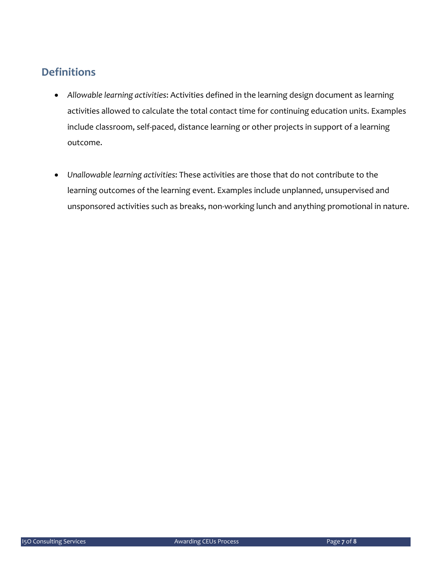### **Definitions**

- *Allowable learning activities*: Activities defined in the learning design document as learning activities allowed to calculate the total contact time for continuing education units. Examples include classroom, self‐paced, distance learning or other projects in support of a learning outcome.
- *Unallowable learning activities*: These activities are those that do not contribute to the learning outcomes of the learning event. Examples include unplanned, unsupervised and unsponsored activities such as breaks, non‐working lunch and anything promotional in nature.